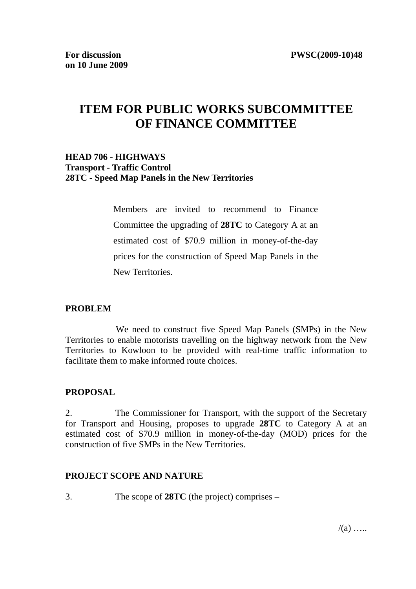# **ITEM FOR PUBLIC WORKS SUBCOMMITTEE OF FINANCE COMMITTEE**

## **HEAD 706 - HIGHWAYS Transport - Traffic Control 28TC - Speed Map Panels in the New Territories**

Members are invited to recommend to Finance Committee the upgrading of **28TC** to Category A at an estimated cost of \$70.9 million in money-of-the-day prices for the construction of Speed Map Panels in the New Territories.

## **PROBLEM**

 We need to construct five Speed Map Panels (SMPs) in the New Territories to enable motorists travelling on the highway network from the New Territories to Kowloon to be provided with real-time traffic information to facilitate them to make informed route choices.

## **PROPOSAL**

2. The Commissioner for Transport, with the support of the Secretary for Transport and Housing, proposes to upgrade **28TC** to Category A at an estimated cost of \$70.9 million in money-of-the-day (MOD) prices for the construction of five SMPs in the New Territories.

## **PROJECT SCOPE AND NATURE**

3. The scope of **28TC** (the project) comprises –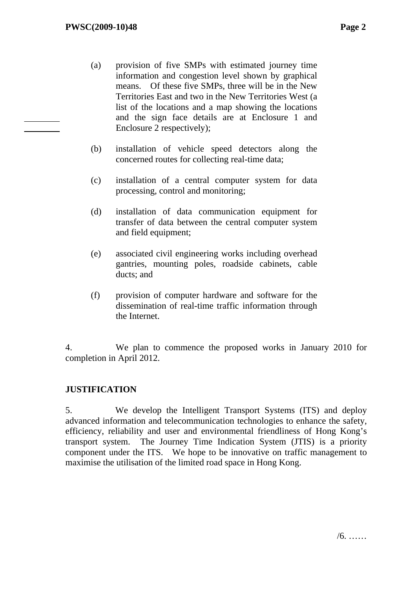- (a) provision of five SMPs with estimated journey time information and congestion level shown by graphical means. Of these five SMPs, three will be in the New Territories East and two in the New Territories West (a list of the locations and a map showing the locations and the sign face details are at Enclosure 1 and Enclosure 2 respectively);
- (b) installation of vehicle speed detectors along the concerned routes for collecting real-time data;
- (c) installation of a central computer system for data processing, control and monitoring;
- (d) installation of data communication equipment for transfer of data between the central computer system and field equipment;
- (e) associated civil engineering works including overhead gantries, mounting poles, roadside cabinets, cable ducts; and
- (f) provision of computer hardware and software for the dissemination of real-time traffic information through the Internet.

4. We plan to commence the proposed works in January 2010 for completion in April 2012.

## **JUSTIFICATION**

5. We develop the Intelligent Transport Systems (ITS) and deploy advanced information and telecommunication technologies to enhance the safety, efficiency, reliability and user and environmental friendliness of Hong Kong's transport system. The Journey Time Indication System (JTIS) is a priority component under the ITS. We hope to be innovative on traffic management to maximise the utilisation of the limited road space in Hong Kong.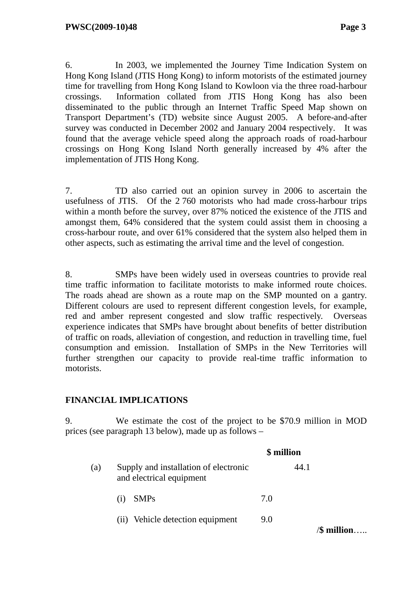6. In 2003, we implemented the Journey Time Indication System on Hong Kong Island (JTIS Hong Kong) to inform motorists of the estimated journey time for travelling from Hong Kong Island to Kowloon via the three road-harbour crossings. Information collated from JTIS Hong Kong has also been disseminated to the public through an Internet Traffic Speed Map shown on Transport Department's (TD) website since August 2005. A before-and-after survey was conducted in December 2002 and January 2004 respectively. It was found that the average vehicle speed along the approach roads of road-harbour crossings on Hong Kong Island North generally increased by 4% after the implementation of JTIS Hong Kong.

7. TD also carried out an opinion survey in 2006 to ascertain the usefulness of JTIS. Of the 2 760 motorists who had made cross-harbour trips within a month before the survey, over 87% noticed the existence of the JTIS and amongst them, 64% considered that the system could assist them in choosing a cross-harbour route, and over 61% considered that the system also helped them in other aspects, such as estimating the arrival time and the level of congestion.

8. SMPs have been widely used in overseas countries to provide real time traffic information to facilitate motorists to make informed route choices. The roads ahead are shown as a route map on the SMP mounted on a gantry. Different colours are used to represent different congestion levels, for example, red and amber represent congested and slow traffic respectively. Overseas experience indicates that SMPs have brought about benefits of better distribution of traffic on roads, alleviation of congestion, and reduction in travelling time, fuel consumption and emission. Installation of SMPs in the New Territories will further strengthen our capacity to provide real-time traffic information to motorists.

## **FINANCIAL IMPLICATIONS**

9. We estimate the cost of the project to be \$70.9 million in MOD prices (see paragraph 13 below), made up as follows –

| (a) | \$ million                                                        |                     |  |  |  |
|-----|-------------------------------------------------------------------|---------------------|--|--|--|
|     | Supply and installation of electronic<br>and electrical equipment | 44.1                |  |  |  |
|     | <b>SMPs</b><br>(1)                                                | 7.0                 |  |  |  |
|     | (ii) Vehicle detection equipment                                  | 9.0<br>/\$ million… |  |  |  |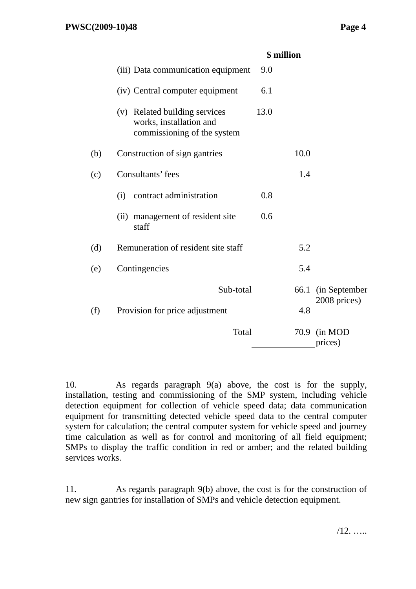|     |                                                                                         | \$ million |                               |
|-----|-----------------------------------------------------------------------------------------|------------|-------------------------------|
|     | (iii) Data communication equipment                                                      | 9.0        |                               |
|     | (iv) Central computer equipment                                                         | 6.1        |                               |
|     | (v) Related building services<br>works, installation and<br>commissioning of the system | 13.0       |                               |
| (b) | Construction of sign gantries                                                           | 10.0       |                               |
| (c) | Consultants' fees                                                                       | 1.4        |                               |
|     | contract administration<br>(i)                                                          | 0.8        |                               |
|     | management of resident site<br>(ii)<br>staff                                            | 0.6        |                               |
| (d) | Remuneration of resident site staff                                                     | 5.2        |                               |
| (e) | Contingencies                                                                           | 5.4        |                               |
|     | Sub-total                                                                               | 66.1       | (in September<br>2008 prices) |
| (f) | Provision for price adjustment                                                          | 4.8        |                               |
|     | Total                                                                                   |            | 70.9 (in MOD<br>prices)       |

10. As regards paragraph 9(a) above, the cost is for the supply, installation, testing and commissioning of the SMP system, including vehicle detection equipment for collection of vehicle speed data; data communication equipment for transmitting detected vehicle speed data to the central computer system for calculation; the central computer system for vehicle speed and journey time calculation as well as for control and monitoring of all field equipment; SMPs to display the traffic condition in red or amber; and the related building services works.

11. As regards paragraph 9(b) above, the cost is for the construction of new sign gantries for installation of SMPs and vehicle detection equipment.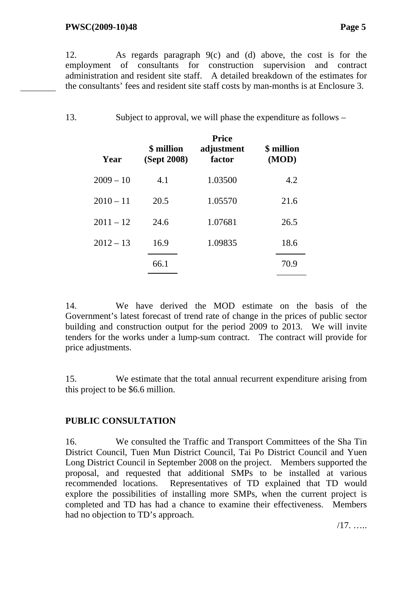#### **PWSC(2009-10)48** Page 5

12. As regards paragraph 9(c) and (d) above, the cost is for the employment of consultants for construction supervision and contract administration and resident site staff. A detailed breakdown of the estimates for the consultants' fees and resident site staff costs by man-months is at Enclosure 3.

13. Subject to approval, we will phase the expenditure as follows –

| Year        | \$ million<br>(Sept 2008) | <b>Price</b><br>adjustment<br>factor | \$ million<br>(MOD) |
|-------------|---------------------------|--------------------------------------|---------------------|
| $2009 - 10$ | 4.1                       | 1.03500                              | 4.2                 |
| $2010 - 11$ | 20.5                      | 1.05570                              | 21.6                |
| $2011 - 12$ | 24.6                      | 1.07681                              | 26.5                |
| $2012 - 13$ | 16.9                      | 1.09835                              | 18.6                |
|             | 66.1                      |                                      | 70.9                |

14. We have derived the MOD estimate on the basis of the Government's latest forecast of trend rate of change in the prices of public sector building and construction output for the period 2009 to 2013. We will invite tenders for the works under a lump-sum contract. The contract will provide for price adjustments.

15. We estimate that the total annual recurrent expenditure arising from this project to be \$6.6 million.

## **PUBLIC CONSULTATION**

16. We consulted the Traffic and Transport Committees of the Sha Tin District Council, Tuen Mun District Council, Tai Po District Council and Yuen Long District Council in September 2008 on the project. Members supported the proposal, and requested that additional SMPs to be installed at various recommended locations. Representatives of TD explained that TD would explore the possibilities of installing more SMPs, when the current project is completed and TD has had a chance to examine their effectiveness. Members had no objection to TD's approach.

/17. …..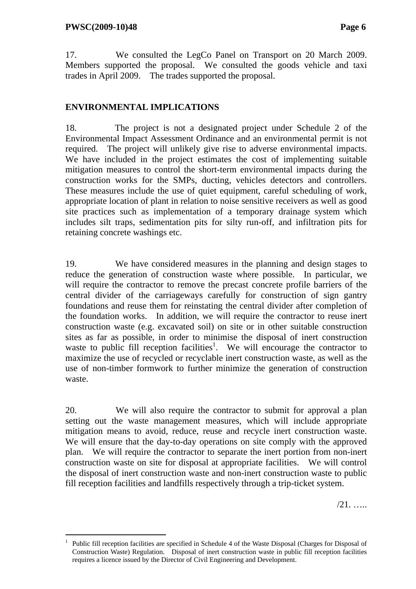$\overline{a}$ 

17. We consulted the LegCo Panel on Transport on 20 March 2009. Members supported the proposal. We consulted the goods vehicle and taxi trades in April 2009. The trades supported the proposal.

## **ENVIRONMENTAL IMPLICATIONS**

18. The project is not a designated project under Schedule 2 of the Environmental Impact Assessment Ordinance and an environmental permit is not required. The project will unlikely give rise to adverse environmental impacts. We have included in the project estimates the cost of implementing suitable mitigation measures to control the short-term environmental impacts during the construction works for the SMPs, ducting, vehicles detectors and controllers. These measures include the use of quiet equipment, careful scheduling of work, appropriate location of plant in relation to noise sensitive receivers as well as good site practices such as implementation of a temporary drainage system which includes silt traps, sedimentation pits for silty run-off, and infiltration pits for retaining concrete washings etc.

19. We have considered measures in the planning and design stages to reduce the generation of construction waste where possible. In particular, we will require the contractor to remove the precast concrete profile barriers of the central divider of the carriageways carefully for construction of sign gantry foundations and reuse them for reinstating the central divider after completion of the foundation works. In addition, we will require the contractor to reuse inert construction waste (e.g. excavated soil) on site or in other suitable construction sites as far as possible, in order to minimise the disposal of inert construction waste to public fill reception facilities<sup>1</sup>. We will encourage the contractor to maximize the use of recycled or recyclable inert construction waste, as well as the use of non-timber formwork to further minimize the generation of construction waste.

20. We will also require the contractor to submit for approval a plan setting out the waste management measures, which will include appropriate mitigation means to avoid, reduce, reuse and recycle inert construction waste. We will ensure that the day-to-day operations on site comply with the approved plan. We will require the contractor to separate the inert portion from non-inert construction waste on site for disposal at appropriate facilities. We will control the disposal of inert construction waste and non-inert construction waste to public fill reception facilities and landfills respectively through a trip-ticket system.

/21. …..

<sup>1</sup> Public fill reception facilities are specified in Schedule 4 of the Waste Disposal (Charges for Disposal of Construction Waste) Regulation. Disposal of inert construction waste in public fill reception facilities requires a licence issued by the Director of Civil Engineering and Development.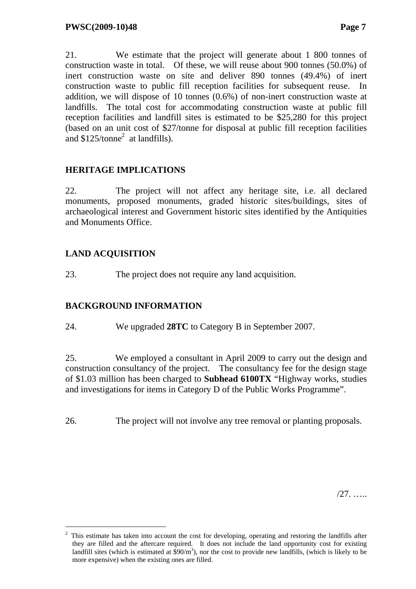21. We estimate that the project will generate about 1 800 tonnes of construction waste in total. Of these, we will reuse about 900 tonnes (50.0%) of inert construction waste on site and deliver 890 tonnes (49.4%) of inert construction waste to public fill reception facilities for subsequent reuse. addition, we will dispose of 10 tonnes (0.6%) of non-inert construction waste at landfills. The total cost for accommodating construction waste at public fill reception facilities and landfill sites is estimated to be \$25,280 for this project (based on an unit cost of \$27/tonne for disposal at public fill reception facilities and  $$125/tonne<sup>2</sup>$  at landfills).

## **HERITAGE IMPLICATIONS**

22. The project will not affect any heritage site, i.e. all declared monuments, proposed monuments, graded historic sites/buildings, sites of archaeological interest and Government historic sites identified by the Antiquities and Monuments Office.

## **LAND ACQUISITION**

23. The project does not require any land acquisition.

## **BACKGROUND INFORMATION**

24. We upgraded **28TC** to Category B in September 2007.

25. We employed a consultant in April 2009 to carry out the design and construction consultancy of the project. The consultancy fee for the design stage of \$1.03 million has been charged to **Subhead 6100TX** "Highway works, studies and investigations for items in Category D of the Public Works Programme".

26. The project will not involve any tree removal or planting proposals.

/27. …..

 $\overline{a}$ 2 This estimate has taken into account the cost for developing, operating and restoring the landfills after they are filled and the aftercare required. It does not include the land opportunity cost for existing landfill sites (which is estimated at  $\frac{\$90}{m^3}$ ), nor the cost to provide new landfills, (which is likely to be more expensive) when the existing ones are filled.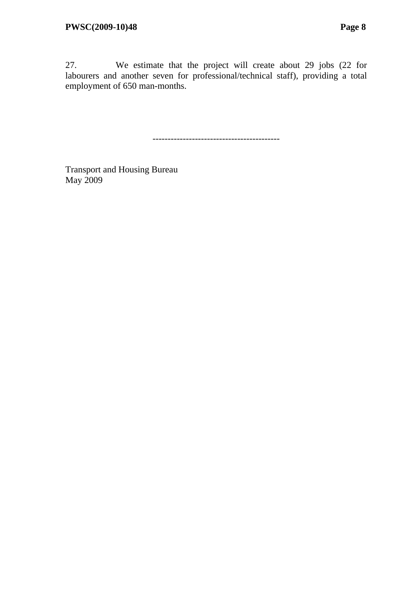27. We estimate that the project will create about 29 jobs (22 for labourers and another seven for professional/technical staff), providing a total employment of 650 man-months.

------------------------------------------

Transport and Housing Bureau May 2009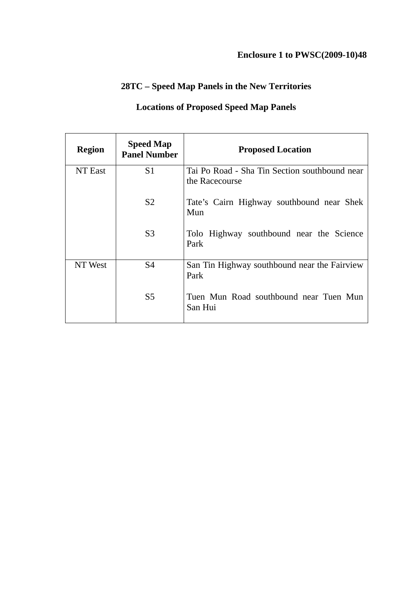## **28TC – Speed Map Panels in the New Territories**

# **Locations of Proposed Speed Map Panels**

| <b>Region</b> | <b>Speed Map</b><br><b>Panel Number</b> | <b>Proposed Location</b>                                        |
|---------------|-----------------------------------------|-----------------------------------------------------------------|
| NT East       | S <sub>1</sub>                          | Tai Po Road - Sha Tin Section southbound near<br>the Racecourse |
|               | S <sub>2</sub>                          | Tate's Cairn Highway southbound near Shek<br>Mun                |
|               | S <sub>3</sub>                          | Tolo Highway southbound near the Science<br>Park                |
| NT West       | S <sub>4</sub>                          | San Tin Highway southbound near the Fairview<br>Park            |
|               | S <sub>5</sub>                          | Tuen Mun Road southbound near Tuen Mun<br>San Hui               |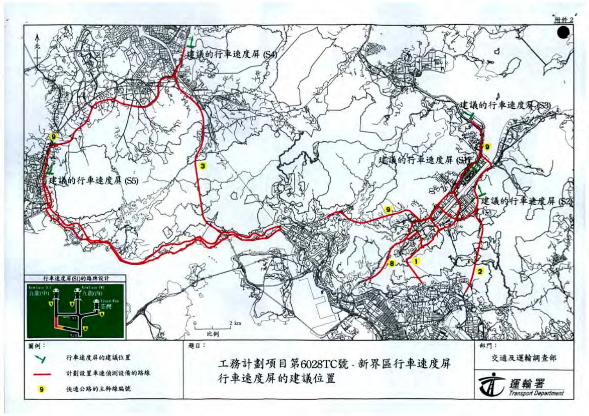